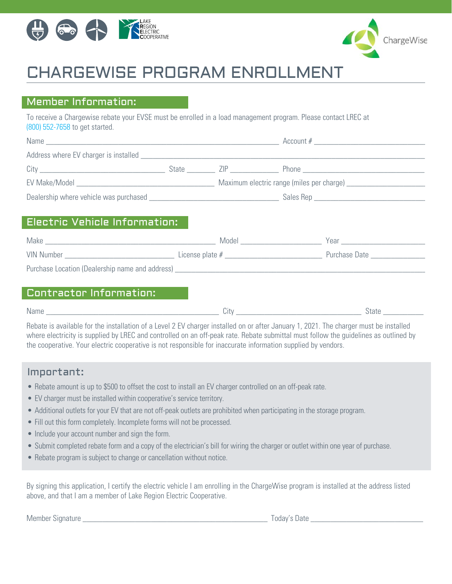



# CHARGEWISE PROGRAM ENROLLMENT

#### Member Information:

To receive a Chargewise rebate your EVSE must be enrolled in a load management program. Please contact LREC at (800) 552-7658 to get started.

| Name                                         |       |     | Account #                                                                                                      |  |
|----------------------------------------------|-------|-----|----------------------------------------------------------------------------------------------------------------|--|
|                                              |       |     |                                                                                                                |  |
| City                                         | State | /IP | Phone that the contract of the contract of the contract of the contract of the contract of the contract of the |  |
| EV Make/Model                                |       |     | Maximum electric range (miles per charge) ___________                                                          |  |
| Dealership where vehicle was purchased _____ |       |     |                                                                                                                |  |

### Electric Vehicle Information:

| Make                                            | Model             | Year          |
|-------------------------------------------------|-------------------|---------------|
| <b>VIN Number</b>                               | License plate $#$ | Purchase Date |
| Purchase Location (Dealership name and address) |                   |               |

#### Contractor Information:

| Name | `ı†∖.<br>. ا ب | state |
|------|----------------|-------|
|      |                |       |

Rebate is available for the installation of a Level 2 EV charger installed on or after January 1, 2021. The charger must be installed where electricity is supplied by LREC and controlled on an off-peak rate. Rebate submittal must follow the guidelines as outlined by the cooperative. Your electric cooperative is not responsible for inaccurate information supplied by vendors.

#### Important:

- Rebate amount is up to \$500 to offset the cost to install an EV charger controlled on an off-peak rate.
- EV charger must be installed within cooperative's service territory.
- Additional outlets for your EV that are not off-peak outlets are prohibited when participating in the storage program.
- Fill out this form completely. Incomplete forms will not be processed.
- Include your account number and sign the form.
- Submit completed rebate form and a copy of the electrician's bill for wiring the charger or outlet within one year of purchase.
- Rebate program is subject to change or cancellation without notice.

By signing this application, I certify the electric vehicle I am enrolling in the ChargeWise program is installed at the address listed above, and that I am a member of Lake Region Electric Cooperative.

Member Signature **Example 20** and the state of the state of the Today's Date  $\overline{C}$